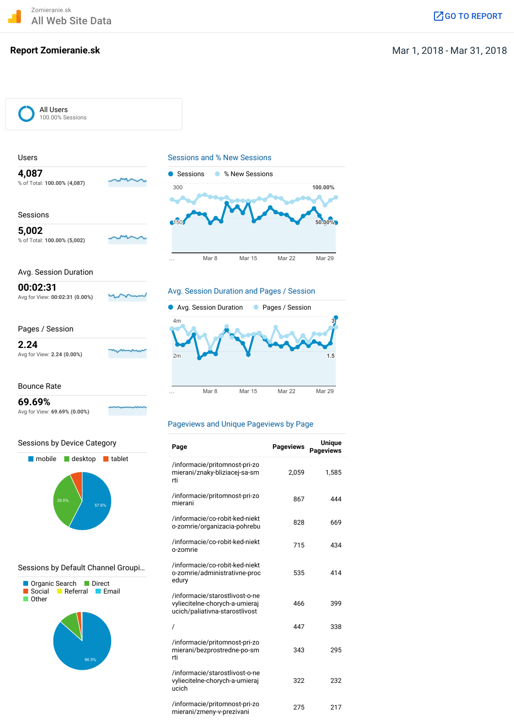Zomieranie.sk All Web Site Data Government Companies and the Companies of the Companies of the Companies of the Companies of  $\mathbb Z$  Go To [REPORT](https://analytics.google.com/analytics/web/?hl=en&pli=1&utm_source=pdfReportLink#dashboard/Acs5TVadQ8Kvho88foP-MQ/a85704426w127805572p131504986/?_u.date00=20180301&_u.date01=20180331/)

## **Report Zomieranie.sk** Mar 1, 2018 - Mar 31, 2018 - Mar 31, 2018 - Mar 31, 2018 - Mar 31, 2018 - Mar 31, 2018 - Mar 31, 2018 - Mar 31, 2018 - Mar 31, 2018 - Mar 31, 2018 - Mar 31, 2018 - Mar 31, 2018 - Mar 31, 2018 - Mar 3